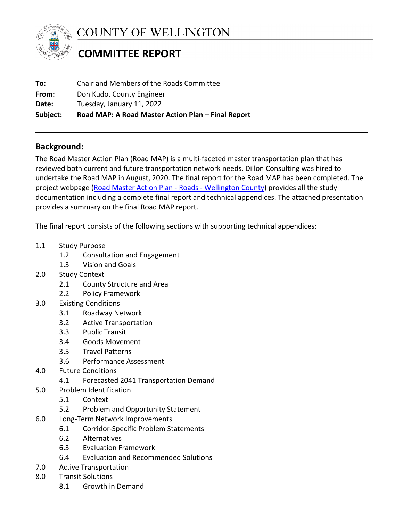

COUNTY OF WELLINGTON

# **COMMITTEE REPORT**

| Subject: | Road MAP: A Road Master Action Plan - Final Report |  |
|----------|----------------------------------------------------|--|
| Date:    | Tuesday, January 11, 2022                          |  |
| From:    | Don Kudo, County Engineer                          |  |
| To:      | Chair and Members of the Roads Committee           |  |

# **Background:**

The Road Master Action Plan (Road MAP) is a multi-faceted master transportation plan that has reviewed both current and future transportation network needs. Dillon Consulting was hired to undertake the Road MAP in August, 2020. The final report for the Road MAP has been completed. The project webpage (Road Master Action Plan - Roads - Wellington County) provides all the study documentation including a complete final report and technical appendices. The attached presentation provides a summary on the final Road MAP report.

The final report consists of the following sections with supporting technical appendices:

- 1.1 Study Purpose
	- 1.2 Consultation and Engagement
	- 1.3 Vision and Goals
- 2.0 Study Context
	- 2.1 County Structure and Area
	- 2.2 Policy Framework
- 3.0 Existing Conditions
	- 3.1 Roadway Network
	- 3.2 Active Transportation
	- 3.3 Public Transit
	- 3.4 Goods Movement
	- 3.5 Travel Patterns
	- 3.6 Performance Assessment
- 4.0 Future Conditions
	- 4.1 Forecasted 2041 Transportation Demand
- 5.0 Problem Identification
	- 5.1 Context
	- 5.2 Problem and Opportunity Statement
- 6.0 Long-Term Network Improvements
	- 6.1 Corridor-Specific Problem Statements
	- 6.2 Alternatives
	- 6.3 Evaluation Framework
	- 6.4 Evaluation and Recommended Solutions
- 7.0 Active Transportation
- 8.0 Transit Solutions
	- 8.1 Growth in Demand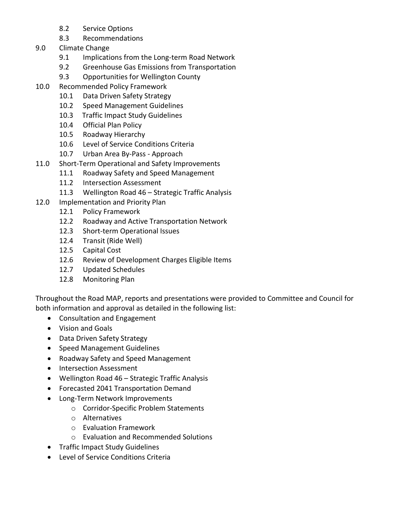- 8.2 Service Options
- 8.3 Recommendations
- 9.0 Climate Change
	- 9.1 Implications from the Long-term Road Network
	- 9.2 Greenhouse Gas Emissions from Transportation
	- 9.3 Opportunities for Wellington County
- 10.0 Recommended Policy Framework
	- 10.1 Data Driven Safety Strategy
	- 10.2 Speed Management Guidelines
	- 10.3 Traffic Impact Study Guidelines
	- 10.4 Official Plan Policy
	- 10.5 Roadway Hierarchy
	- 10.6 Level of Service Conditions Criteria
	- 10.7 Urban Area By-Pass Approach
- 11.0 Short-Term Operational and Safety Improvements
	- 11.1 Roadway Safety and Speed Management
	- 11.2 Intersection Assessment
	- 11.3 Wellington Road 46 Strategic Traffic Analysis
- 12.0 Implementation and Priority Plan
	- 12.1 Policy Framework
	- 12.2 Roadway and Active Transportation Network
	- 12.3 Short-term Operational Issues
	- 12.4 Transit (Ride Well)
	- 12.5 Capital Cost
	- 12.6 Review of Development Charges Eligible Items
	- 12.7 Updated Schedules
	- 12.8 Monitoring Plan

Throughout the Road MAP, reports and presentations were provided to Committee and Council for both information and approval as detailed in the following list:

- Consultation and Engagement
- Vision and Goals
- Data Driven Safety Strategy
- Speed Management Guidelines
- Roadway Safety and Speed Management
- Intersection Assessment
- Wellington Road 46 Strategic Traffic Analysis
- Forecasted 2041 Transportation Demand
- Long-Term Network Improvements
	- o Corridor-Specific Problem Statements
	- o Alternatives
	- o Evaluation Framework
	- o Evaluation and Recommended Solutions
- Traffic Impact Study Guidelines
- Level of Service Conditions Criteria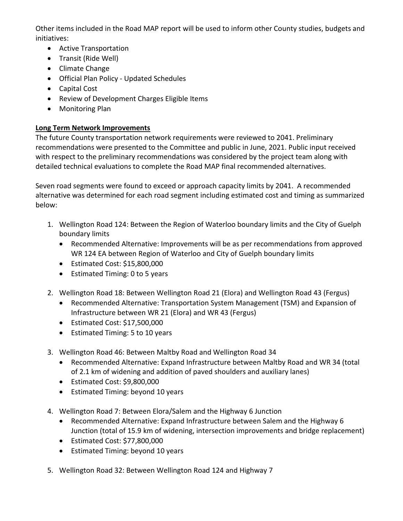Other items included in the Road MAP report will be used to inform other County studies, budgets and initiatives:

- Active Transportation
- Transit (Ride Well)
- Climate Change
- Official Plan Policy Updated Schedules
- Capital Cost
- Review of Development Charges Eligible Items
- Monitoring Plan

## **Long Term Network Improvements**

The future County transportation network requirements were reviewed to 2041. Preliminary recommendations were presented to the Committee and public in June, 2021. Public input received with respect to the preliminary recommendations was considered by the project team along with detailed technical evaluations to complete the Road MAP final recommended alternatives.

Seven road segments were found to exceed or approach capacity limits by 2041. A recommended alternative was determined for each road segment including estimated cost and timing as summarized below:

- 1. Wellington Road 124: Between the Region of Waterloo boundary limits and the City of Guelph boundary limits
	- Recommended Alternative: Improvements will be as per recommendations from approved WR 124 EA between Region of Waterloo and City of Guelph boundary limits
	- Estimated Cost: \$15,800,000
	- Estimated Timing: 0 to 5 years
- 2. Wellington Road 18: Between Wellington Road 21 (Elora) and Wellington Road 43 (Fergus)
	- Recommended Alternative: Transportation System Management (TSM) and Expansion of Infrastructure between WR 21 (Elora) and WR 43 (Fergus)
	- Estimated Cost: \$17,500,000
	- Estimated Timing: 5 to 10 years
- 3. Wellington Road 46: Between Maltby Road and Wellington Road 34
	- Recommended Alternative: Expand Infrastructure between Maltby Road and WR 34 (total of 2.1 km of widening and addition of paved shoulders and auxiliary lanes)
	- Estimated Cost: \$9,800,000
	- Estimated Timing: beyond 10 years
- 4. Wellington Road 7: Between Elora/Salem and the Highway 6 Junction
	- Recommended Alternative: Expand Infrastructure between Salem and the Highway 6 Junction (total of 15.9 km of widening, intersection improvements and bridge replacement)
	- Estimated Cost: \$77,800,000
	- Estimated Timing: beyond 10 years
- 5. Wellington Road 32: Between Wellington Road 124 and Highway 7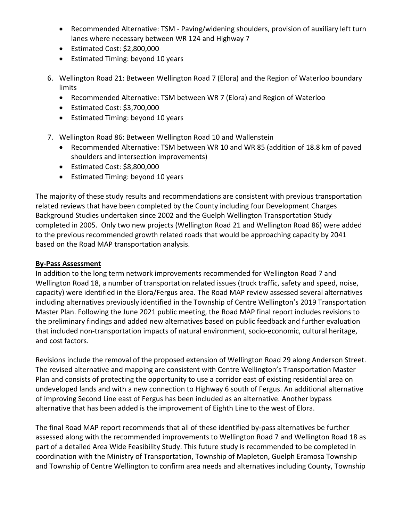- Recommended Alternative: TSM Paving/widening shoulders, provision of auxiliary left turn lanes where necessary between WR 124 and Highway 7
- Estimated Cost: \$2,800,000
- Estimated Timing: beyond 10 years
- 6. Wellington Road 21: Between Wellington Road 7 (Elora) and the Region of Waterloo boundary limits
	- Recommended Alternative: TSM between WR 7 (Elora) and Region of Waterloo
	- Estimated Cost: \$3,700,000
	- Estimated Timing: beyond 10 years
- 7. Wellington Road 86: Between Wellington Road 10 and Wallenstein
	- Recommended Alternative: TSM between WR 10 and WR 85 (addition of 18.8 km of paved shoulders and intersection improvements)
	- Estimated Cost: \$8,800,000
	- Estimated Timing: beyond 10 years

The majority of these study results and recommendations are consistent with previous transportation related reviews that have been completed by the County including four Development Charges Background Studies undertaken since 2002 and the Guelph Wellington Transportation Study completed in 2005. Only two new projects (Wellington Road 21 and Wellington Road 86) were added to the previous recommended growth related roads that would be approaching capacity by 2041 based on the Road MAP transportation analysis.

#### **By-Pass Assessment**

In addition to the long term network improvements recommended for Wellington Road 7 and Wellington Road 18, a number of transportation related issues (truck traffic, safety and speed, noise, capacity) were identified in the Elora/Fergus area. The Road MAP review assessed several alternatives including alternatives previously identified in the Township of Centre Wellington's 2019 Transportation Master Plan. Following the June 2021 public meeting, the Road MAP final report includes revisions to the preliminary findings and added new alternatives based on public feedback and further evaluation that included non-transportation impacts of natural environment, socio-economic, cultural heritage, and cost factors.

Revisions include the removal of the proposed extension of Wellington Road 29 along Anderson Street. The revised alternative and mapping are consistent with Centre Wellington's Transportation Master Plan and consists of protecting the opportunity to use a corridor east of existing residential area on undeveloped lands and with a new connection to Highway 6 south of Fergus. An additional alternative of improving Second Line east of Fergus has been included as an alternative. Another bypass alternative that has been added is the improvement of Eighth Line to the west of Elora.

The final Road MAP report recommends that all of these identified by-pass alternatives be further assessed along with the recommended improvements to Wellington Road 7 and Wellington Road 18 as part of a detailed Area Wide Feasibility Study. This future study is recommended to be completed in coordination with the Ministry of Transportation, Township of Mapleton, Guelph Eramosa Township and Township of Centre Wellington to confirm area needs and alternatives including County, Township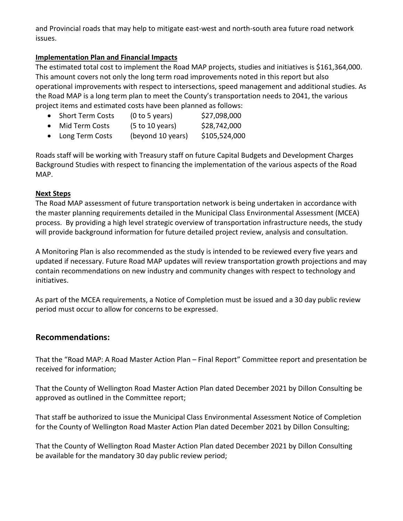and Provincial roads that may help to mitigate east-west and north-south area future road network issues.

#### **Implementation Plan and Financial Impacts**

The estimated total cost to implement the Road MAP projects, studies and initiatives is \$161,364,000. This amount covers not only the long term road improvements noted in this report but also operational improvements with respect to intersections, speed management and additional studies. As the Road MAP is a long term plan to meet the County's transportation needs to 2041, the various project items and estimated costs have been planned as follows:

| Short Term Costs | (0 to 5 years) | \$27,098,000 |
|------------------|----------------|--------------|
|                  |                |              |

- Mid Term Costs  $(5 to 10 \text{ years})$   $$28,742,000$
- Long Term Costs  $($ beyond 10 years $)$  \$105,524,000

Roads staff will be working with Treasury staff on future Capital Budgets and Development Charges Background Studies with respect to financing the implementation of the various aspects of the Road MAP.

#### **Next Steps**

The Road MAP assessment of future transportation network is being undertaken in accordance with the master planning requirements detailed in the Municipal Class Environmental Assessment (MCEA) process. By providing a high level strategic overview of transportation infrastructure needs, the study will provide background information for future detailed project review, analysis and consultation.

A Monitoring Plan is also recommended as the study is intended to be reviewed every five years and updated if necessary. Future Road MAP updates will review transportation growth projections and may contain recommendations on new industry and community changes with respect to technology and initiatives.

As part of the MCEA requirements, a Notice of Completion must be issued and a 30 day public review period must occur to allow for concerns to be expressed.

## **Recommendations:**

That the "Road MAP: A Road Master Action Plan – Final Report" Committee report and presentation be received for information;

That the County of Wellington Road Master Action Plan dated December 2021 by Dillon Consulting be approved as outlined in the Committee report;

That staff be authorized to issue the Municipal Class Environmental Assessment Notice of Completion for the County of Wellington Road Master Action Plan dated December 2021 by Dillon Consulting;

That the County of Wellington Road Master Action Plan dated December 2021 by Dillon Consulting be available for the mandatory 30 day public review period;